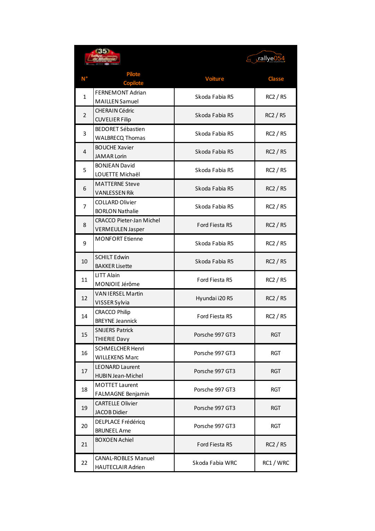| <b>Pilote</b><br>N <sup>°</sup><br><b>Classe</b><br><b>Voiture</b><br><b>Copilote</b><br>FERNEMONT Adrian<br>$\mathbf{1}$<br>Skoda Fabia R5<br>RC2 / R5<br><b>MAILLEN Samuel</b><br><b>CHERAIN Cédric</b><br>$\overline{2}$<br>Skoda Fabia R5<br><b>RC2 / R5</b><br><b>CUVELIER Filip</b><br><b>BEDORET Sébastien</b><br>3<br>Skoda Fabia R5<br>RC2 / R5<br><b>WALBRECQ Thomas</b><br><b>BOUCHE Xavier</b><br>4<br>Skoda Fabia R5<br>RC2 / R5<br><b>JAMAR Lorin</b><br><b>BONJEAN David</b><br>5<br>Skoda Fabia R5<br>RC2 / R5<br>LOUETTE Michaël<br><b>MATTERNE Steve</b><br>6<br>Skoda Fabia R5<br>RC2 / R5<br><b>VANLESSEN Rik</b><br><b>COLLARD Olivier</b><br>7<br>Skoda Fabia R5<br>RC2 / R5<br><b>BORLON Nathalie</b><br><b>CRACCO Pieter-Jan Michel</b><br>8<br>Ford Fiesta R5<br><b>RC2 / R5</b><br><b>VERMEULEN Jasper</b><br><b>MONFORT Etienne</b><br>9<br>Skoda Fabia R5<br>RC2 / R5<br><b>SCHILT Edwin</b><br>10<br>Skoda Fabia R5<br>RC2 / R5<br><b>BAKKER Lisette</b><br><b>LITT Alain</b><br><b>RC2 / R5</b><br>11<br>Ford Fiesta R5<br>MONJOIE Jérôme<br><b>VAN IERSEL Martin</b><br>12<br>Hyundai i20 R5<br>RC2 / R5<br>VISSER Sylvia<br><b>CRACCO Philip</b><br>14<br>Ford Fiesta R5<br>RC2 / R5<br><b>BREYNE Jeannick</b><br><b>SNIJERS Patrick</b><br>15<br>Porsche 997 GT3<br><b>RGT</b><br>THIERIE Davy<br><b>SCHMELCHER Henri</b><br>16<br>Porsche 997 GT3<br><b>RGT</b><br><b>WILLEKENS Marc</b><br><b>LEONARD Laurent</b><br>17<br>Porsche 997 GT3<br><b>RGT</b><br><b>HUBIN Jean-Michel</b><br><b>MOTTET Laurent</b><br>18<br>Porsche 997 GT3<br><b>RGT</b><br><b>FALMAGNE Benjamin</b><br><b>CARTELLE Olivier</b><br>19<br>Porsche 997 GT3<br>RGT |    |                     | rallye054 |  |
|--------------------------------------------------------------------------------------------------------------------------------------------------------------------------------------------------------------------------------------------------------------------------------------------------------------------------------------------------------------------------------------------------------------------------------------------------------------------------------------------------------------------------------------------------------------------------------------------------------------------------------------------------------------------------------------------------------------------------------------------------------------------------------------------------------------------------------------------------------------------------------------------------------------------------------------------------------------------------------------------------------------------------------------------------------------------------------------------------------------------------------------------------------------------------------------------------------------------------------------------------------------------------------------------------------------------------------------------------------------------------------------------------------------------------------------------------------------------------------------------------------------------------------------------------------------------------------------------------------------------------------------------------------------------------------|----|---------------------|-----------|--|
|                                                                                                                                                                                                                                                                                                                                                                                                                                                                                                                                                                                                                                                                                                                                                                                                                                                                                                                                                                                                                                                                                                                                                                                                                                                                                                                                                                                                                                                                                                                                                                                                                                                                                |    |                     |           |  |
|                                                                                                                                                                                                                                                                                                                                                                                                                                                                                                                                                                                                                                                                                                                                                                                                                                                                                                                                                                                                                                                                                                                                                                                                                                                                                                                                                                                                                                                                                                                                                                                                                                                                                |    |                     |           |  |
|                                                                                                                                                                                                                                                                                                                                                                                                                                                                                                                                                                                                                                                                                                                                                                                                                                                                                                                                                                                                                                                                                                                                                                                                                                                                                                                                                                                                                                                                                                                                                                                                                                                                                |    |                     |           |  |
|                                                                                                                                                                                                                                                                                                                                                                                                                                                                                                                                                                                                                                                                                                                                                                                                                                                                                                                                                                                                                                                                                                                                                                                                                                                                                                                                                                                                                                                                                                                                                                                                                                                                                |    |                     |           |  |
|                                                                                                                                                                                                                                                                                                                                                                                                                                                                                                                                                                                                                                                                                                                                                                                                                                                                                                                                                                                                                                                                                                                                                                                                                                                                                                                                                                                                                                                                                                                                                                                                                                                                                |    |                     |           |  |
|                                                                                                                                                                                                                                                                                                                                                                                                                                                                                                                                                                                                                                                                                                                                                                                                                                                                                                                                                                                                                                                                                                                                                                                                                                                                                                                                                                                                                                                                                                                                                                                                                                                                                |    |                     |           |  |
|                                                                                                                                                                                                                                                                                                                                                                                                                                                                                                                                                                                                                                                                                                                                                                                                                                                                                                                                                                                                                                                                                                                                                                                                                                                                                                                                                                                                                                                                                                                                                                                                                                                                                |    |                     |           |  |
|                                                                                                                                                                                                                                                                                                                                                                                                                                                                                                                                                                                                                                                                                                                                                                                                                                                                                                                                                                                                                                                                                                                                                                                                                                                                                                                                                                                                                                                                                                                                                                                                                                                                                |    |                     |           |  |
|                                                                                                                                                                                                                                                                                                                                                                                                                                                                                                                                                                                                                                                                                                                                                                                                                                                                                                                                                                                                                                                                                                                                                                                                                                                                                                                                                                                                                                                                                                                                                                                                                                                                                |    |                     |           |  |
|                                                                                                                                                                                                                                                                                                                                                                                                                                                                                                                                                                                                                                                                                                                                                                                                                                                                                                                                                                                                                                                                                                                                                                                                                                                                                                                                                                                                                                                                                                                                                                                                                                                                                |    |                     |           |  |
|                                                                                                                                                                                                                                                                                                                                                                                                                                                                                                                                                                                                                                                                                                                                                                                                                                                                                                                                                                                                                                                                                                                                                                                                                                                                                                                                                                                                                                                                                                                                                                                                                                                                                |    |                     |           |  |
|                                                                                                                                                                                                                                                                                                                                                                                                                                                                                                                                                                                                                                                                                                                                                                                                                                                                                                                                                                                                                                                                                                                                                                                                                                                                                                                                                                                                                                                                                                                                                                                                                                                                                |    |                     |           |  |
|                                                                                                                                                                                                                                                                                                                                                                                                                                                                                                                                                                                                                                                                                                                                                                                                                                                                                                                                                                                                                                                                                                                                                                                                                                                                                                                                                                                                                                                                                                                                                                                                                                                                                |    |                     |           |  |
|                                                                                                                                                                                                                                                                                                                                                                                                                                                                                                                                                                                                                                                                                                                                                                                                                                                                                                                                                                                                                                                                                                                                                                                                                                                                                                                                                                                                                                                                                                                                                                                                                                                                                |    |                     |           |  |
|                                                                                                                                                                                                                                                                                                                                                                                                                                                                                                                                                                                                                                                                                                                                                                                                                                                                                                                                                                                                                                                                                                                                                                                                                                                                                                                                                                                                                                                                                                                                                                                                                                                                                |    |                     |           |  |
|                                                                                                                                                                                                                                                                                                                                                                                                                                                                                                                                                                                                                                                                                                                                                                                                                                                                                                                                                                                                                                                                                                                                                                                                                                                                                                                                                                                                                                                                                                                                                                                                                                                                                |    |                     |           |  |
|                                                                                                                                                                                                                                                                                                                                                                                                                                                                                                                                                                                                                                                                                                                                                                                                                                                                                                                                                                                                                                                                                                                                                                                                                                                                                                                                                                                                                                                                                                                                                                                                                                                                                |    |                     |           |  |
|                                                                                                                                                                                                                                                                                                                                                                                                                                                                                                                                                                                                                                                                                                                                                                                                                                                                                                                                                                                                                                                                                                                                                                                                                                                                                                                                                                                                                                                                                                                                                                                                                                                                                |    |                     |           |  |
|                                                                                                                                                                                                                                                                                                                                                                                                                                                                                                                                                                                                                                                                                                                                                                                                                                                                                                                                                                                                                                                                                                                                                                                                                                                                                                                                                                                                                                                                                                                                                                                                                                                                                |    |                     |           |  |
|                                                                                                                                                                                                                                                                                                                                                                                                                                                                                                                                                                                                                                                                                                                                                                                                                                                                                                                                                                                                                                                                                                                                                                                                                                                                                                                                                                                                                                                                                                                                                                                                                                                                                |    |                     |           |  |
|                                                                                                                                                                                                                                                                                                                                                                                                                                                                                                                                                                                                                                                                                                                                                                                                                                                                                                                                                                                                                                                                                                                                                                                                                                                                                                                                                                                                                                                                                                                                                                                                                                                                                |    |                     |           |  |
|                                                                                                                                                                                                                                                                                                                                                                                                                                                                                                                                                                                                                                                                                                                                                                                                                                                                                                                                                                                                                                                                                                                                                                                                                                                                                                                                                                                                                                                                                                                                                                                                                                                                                |    |                     |           |  |
|                                                                                                                                                                                                                                                                                                                                                                                                                                                                                                                                                                                                                                                                                                                                                                                                                                                                                                                                                                                                                                                                                                                                                                                                                                                                                                                                                                                                                                                                                                                                                                                                                                                                                |    |                     |           |  |
|                                                                                                                                                                                                                                                                                                                                                                                                                                                                                                                                                                                                                                                                                                                                                                                                                                                                                                                                                                                                                                                                                                                                                                                                                                                                                                                                                                                                                                                                                                                                                                                                                                                                                |    |                     |           |  |
|                                                                                                                                                                                                                                                                                                                                                                                                                                                                                                                                                                                                                                                                                                                                                                                                                                                                                                                                                                                                                                                                                                                                                                                                                                                                                                                                                                                                                                                                                                                                                                                                                                                                                |    |                     |           |  |
|                                                                                                                                                                                                                                                                                                                                                                                                                                                                                                                                                                                                                                                                                                                                                                                                                                                                                                                                                                                                                                                                                                                                                                                                                                                                                                                                                                                                                                                                                                                                                                                                                                                                                |    |                     |           |  |
|                                                                                                                                                                                                                                                                                                                                                                                                                                                                                                                                                                                                                                                                                                                                                                                                                                                                                                                                                                                                                                                                                                                                                                                                                                                                                                                                                                                                                                                                                                                                                                                                                                                                                |    |                     |           |  |
|                                                                                                                                                                                                                                                                                                                                                                                                                                                                                                                                                                                                                                                                                                                                                                                                                                                                                                                                                                                                                                                                                                                                                                                                                                                                                                                                                                                                                                                                                                                                                                                                                                                                                |    |                     |           |  |
|                                                                                                                                                                                                                                                                                                                                                                                                                                                                                                                                                                                                                                                                                                                                                                                                                                                                                                                                                                                                                                                                                                                                                                                                                                                                                                                                                                                                                                                                                                                                                                                                                                                                                |    |                     |           |  |
|                                                                                                                                                                                                                                                                                                                                                                                                                                                                                                                                                                                                                                                                                                                                                                                                                                                                                                                                                                                                                                                                                                                                                                                                                                                                                                                                                                                                                                                                                                                                                                                                                                                                                |    |                     |           |  |
|                                                                                                                                                                                                                                                                                                                                                                                                                                                                                                                                                                                                                                                                                                                                                                                                                                                                                                                                                                                                                                                                                                                                                                                                                                                                                                                                                                                                                                                                                                                                                                                                                                                                                |    |                     |           |  |
|                                                                                                                                                                                                                                                                                                                                                                                                                                                                                                                                                                                                                                                                                                                                                                                                                                                                                                                                                                                                                                                                                                                                                                                                                                                                                                                                                                                                                                                                                                                                                                                                                                                                                |    | <b>JACOB Didier</b> |           |  |
| <b>DELPLACE Frédéricq</b><br>20<br>Porsche 997 GT3<br><b>RGT</b><br><b>BRUNEEL Arne</b>                                                                                                                                                                                                                                                                                                                                                                                                                                                                                                                                                                                                                                                                                                                                                                                                                                                                                                                                                                                                                                                                                                                                                                                                                                                                                                                                                                                                                                                                                                                                                                                        |    |                     |           |  |
| <b>BOXOEN Achiel</b>                                                                                                                                                                                                                                                                                                                                                                                                                                                                                                                                                                                                                                                                                                                                                                                                                                                                                                                                                                                                                                                                                                                                                                                                                                                                                                                                                                                                                                                                                                                                                                                                                                                           | 21 |                     |           |  |
| RC2 / R5<br>Ford Fiesta R5                                                                                                                                                                                                                                                                                                                                                                                                                                                                                                                                                                                                                                                                                                                                                                                                                                                                                                                                                                                                                                                                                                                                                                                                                                                                                                                                                                                                                                                                                                                                                                                                                                                     |    |                     |           |  |
| <b>CANAL-ROBLES Manuel</b><br>22<br>RC1 / WRC<br>Skoda Fabia WRC<br><b>HAUTECLAIR Adrien</b>                                                                                                                                                                                                                                                                                                                                                                                                                                                                                                                                                                                                                                                                                                                                                                                                                                                                                                                                                                                                                                                                                                                                                                                                                                                                                                                                                                                                                                                                                                                                                                                   |    |                     |           |  |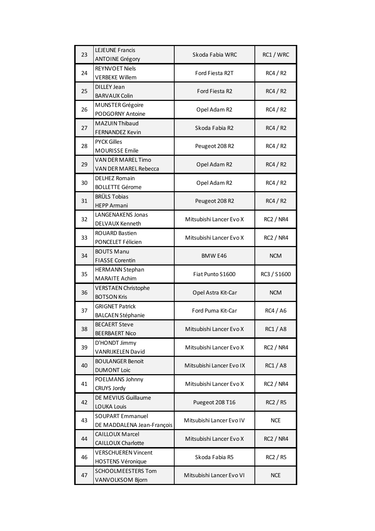| 23 | <b>LEJEUNE Francis</b>                          | Skoda Fabia WRC          | RC1 / WRC        |
|----|-------------------------------------------------|--------------------------|------------------|
|    | <b>ANTOINE Grégory</b><br><b>REYNVOET Niels</b> |                          |                  |
| 24 | <b>VERBEKE Willem</b>                           | Ford Fiesta R2T          | RC4/R2           |
| 25 | <b>DILLEY Jean</b>                              | Ford Fiesta R2           | RC4/R2           |
|    | <b>BARVAUX Colin</b>                            |                          |                  |
| 26 | MUNSTER Grégoire<br>PODGORNY Antoine            | Opel Adam R2             | RC4/R2           |
| 27 | MAZUIN Thibaud                                  |                          |                  |
|    | <b>FERNANDEZ Kevin</b>                          | Skoda Fabia R2           | RC4/R2           |
| 28 | <b>PYCK Gilles</b>                              | Peugeot 208 R2           | RC4/R2           |
|    | MOURISSE Emile                                  |                          |                  |
| 29 | <b>VAN DER MAREL Timo</b>                       | Opel Adam R2             | RC4/R2           |
|    | VAN DER MAREL Rebecca                           |                          |                  |
| 30 | <b>DELHEZ Romain</b>                            | Opel Adam R2             | RC4/R2           |
|    | <b>BOLLETTE Gérome</b>                          |                          |                  |
| 31 | <b>BRÜLS Tobias</b><br><b>HEPP Armani</b>       | Peugeot 208 R2           | RC4/R2           |
|    | LANGENAKENS Jonas                               |                          |                  |
| 32 | DELVAUX Kenneth                                 | Mitsubishi Lancer Evo X  | <b>RC2 / NR4</b> |
|    | ROUARD Bastien                                  |                          |                  |
| 33 | PONCELET Félicien                               | Mitsubishi Lancer Evo X  | <b>RC2 / NR4</b> |
| 34 | <b>BOUTS Manu</b>                               | <b>BMW E46</b>           | <b>NCM</b>       |
|    | <b>FIASSE Corentin</b>                          |                          |                  |
|    |                                                 |                          |                  |
| 35 | <b>HERMANN Stephan</b>                          | Fiat Punto S1600         |                  |
|    | <b>MARAITE Achim</b>                            |                          | RC3 / S1600      |
| 36 | <b>VERSTAEN Christophe</b>                      | Opel Astra Kit-Car       | <b>NCM</b>       |
|    | <b>BOTSON Kris</b>                              |                          |                  |
| 37 | <b>GRIGNET Patrick</b>                          | Ford Puma Kit-Car        | <b>RC4 / A6</b>  |
|    | <b>BALCAEN Stéphanie</b>                        |                          |                  |
| 38 | <b>BECAERT Steve</b><br><b>BEERBAERT Nico</b>   | Mitsubishi Lancer Evo X  | RC1 / A8         |
|    | D'HONDT Jimmy                                   |                          |                  |
| 39 | <b>VANRIJKELEN David</b>                        | Mitsubishi Lancer Evo X  | <b>RC2 / NR4</b> |
|    | <b>BOULANGER Benoit</b>                         |                          |                  |
| 40 | <b>DUMONT Loic</b>                              | Mitsubishi Lancer Evo IX | <b>RC1/A8</b>    |
| 41 | POELMANS Johnny                                 | Mitsubishi Lancer Evo X  | <b>RC2 / NR4</b> |
|    | <b>CRUYS Jordy</b>                              |                          |                  |
| 42 | DE MEVIUS Guillaume                             | Puegeot 208 T16          | <b>RC2 / R5</b>  |
|    | <b>LOUKA Louis</b><br><b>SOUPART Emmanuel</b>   |                          |                  |
| 43 | DE MADDALENA Jean-François                      | Mitsubishi Lancer Evo IV | <b>NCE</b>       |
|    | <b>CAILLOUX Marcel</b>                          |                          |                  |
| 44 | CAILLOUX Charlotte                              | Mitsubishi Lancer Evo X  | <b>RC2 / NR4</b> |
|    | <b>VERSCHUEREN Vincent</b>                      |                          |                  |
| 46 | <b>HOSTENS Véronique</b>                        | Skoda Fabia R5           | RC2 / R5         |
| 47 | <b>SCHOOLMEESTERS Tom</b><br>VANVOLKSOM Bjorn   | Mitsubishi Lancer Evo VI | <b>NCE</b>       |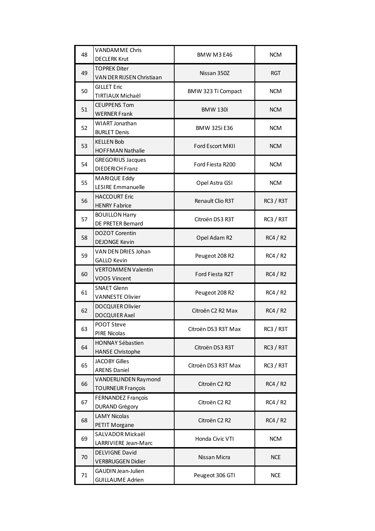| 48       | <b>VANDAMME Chris</b>                           | <b>BMW M3 E46</b>                     | <b>NCM</b>       |
|----------|-------------------------------------------------|---------------------------------------|------------------|
|          | <b>DECLERK Krut</b>                             |                                       |                  |
| 49       | <b>TOPREK Diter</b>                             | Nissan 350Z                           | RGT              |
|          | VAN DER RIJSEN Christiaan                       |                                       |                  |
| 50<br>51 | <b>GILLET Eric</b>                              | BMW 323 Ti Compact                    | <b>NCM</b>       |
|          | TIRTIAUX Michaël                                |                                       |                  |
|          | <b>CEUPPENS Tom</b>                             | <b>BMW 130i</b>                       | <b>NCM</b>       |
| 52       | <b>WERNER Frank</b><br><b>WIART Jonathan</b>    |                                       |                  |
|          | <b>BURLET Denis</b>                             | <b>BMW 325i E36</b>                   | <b>NCM</b>       |
| 53       | <b>KELLEN Bob</b>                               |                                       |                  |
|          | <b>HOFFMAN Nathalie</b>                         | Ford Escort MKII                      | <b>NCM</b>       |
|          | <b>GREGORIUS Jacques</b>                        |                                       |                  |
| 54       | <b>DIEDERICH Franz</b>                          | Ford Fiesta R200                      | <b>NCM</b>       |
|          | MARIQUE Eddy                                    |                                       |                  |
| 55       | LESIRE Emmanuelle                               | Opel Astra GSI                        | <b>NCM</b>       |
| 56       | <b>HACCOURT Eric</b>                            | Renault Clio R3T                      | <b>RC3 / R3T</b> |
|          | <b>HENRY Fabrice</b>                            |                                       |                  |
| 57       | <b>BOUILLON Harry</b>                           | Citroën DS3 R3T                       | RC3 / R3T        |
|          | DE PRETER Bernard                               |                                       |                  |
| 58       | <b>DOZOT Corentin</b>                           | Opel Adam R2                          | RC4/R2           |
|          | <b>DEJONGE Kevin</b>                            |                                       |                  |
| 59       | VAN DEN DRIES Johan                             | Peugeot 208 R2                        | RC4/R2           |
|          | <b>GALLO Kevin</b><br><b>VERTOMMEN Valentin</b> |                                       |                  |
| 60       | <b>VOOS Vincent</b>                             | Ford Fiesta R2T                       | RC4/R2           |
|          | <b>SNAET Glenn</b>                              |                                       |                  |
| 61       | <b>VANNESTE Olivier</b>                         | Peugeot 208 R2                        | RC4/R2           |
|          | DOCQUIER Olivier                                |                                       |                  |
| 62       | <b>DOCQUIER Axel</b>                            | Citroën C2 R2 Max                     | RC4/R2           |
|          | POOT Steve                                      |                                       |                  |
| 63       | <b>PIRE Nicolas</b>                             | Citroën DS3 R3T Max                   | RC3 / R3T        |
| 64       | <b>HONNAY Sébastien</b>                         | Citroën DS3 R3T                       | <b>RC3 / R3T</b> |
|          | <b>HANSE Christophe</b>                         |                                       |                  |
| 65       | <b>JACOBY Gilles</b>                            | Citroën DS3 R3T Max                   | <b>RC3 / R3T</b> |
|          | <b>ARENS Daniel</b>                             |                                       |                  |
| 66       | VANDERLINDEN Raymond                            | Citroën C <sub>2</sub> R <sub>2</sub> | RC4/R2           |
|          | <b>TOURNEUR François</b>                        |                                       |                  |
| 67       | FERNANDEZ François<br>DURAND Grégory            | Citroën C <sub>2</sub> R <sub>2</sub> | RC4 / R2         |
| 68       | <b>LAMY Nicolas</b>                             |                                       |                  |
|          | PETIT Morgane                                   | Citroën C <sub>2</sub> R <sub>2</sub> | RC4/R2           |
| 69       | SALVADOR Mickaël                                |                                       |                  |
|          | LARRIVIERE Jean-Marc                            | Honda Civic VTI                       | <b>NCM</b>       |
| 70       | <b>DELVIGNE David</b>                           |                                       |                  |
|          | <b>VERBRUGGEN Didier</b>                        | Nissan Micra                          | <b>NCE</b>       |
|          | <b>GAUDIN Jean-Julien</b>                       |                                       |                  |
| 71       | <b>GUILLAUME Adrien</b>                         | Peugeot 306 GTI                       | <b>NCE</b>       |